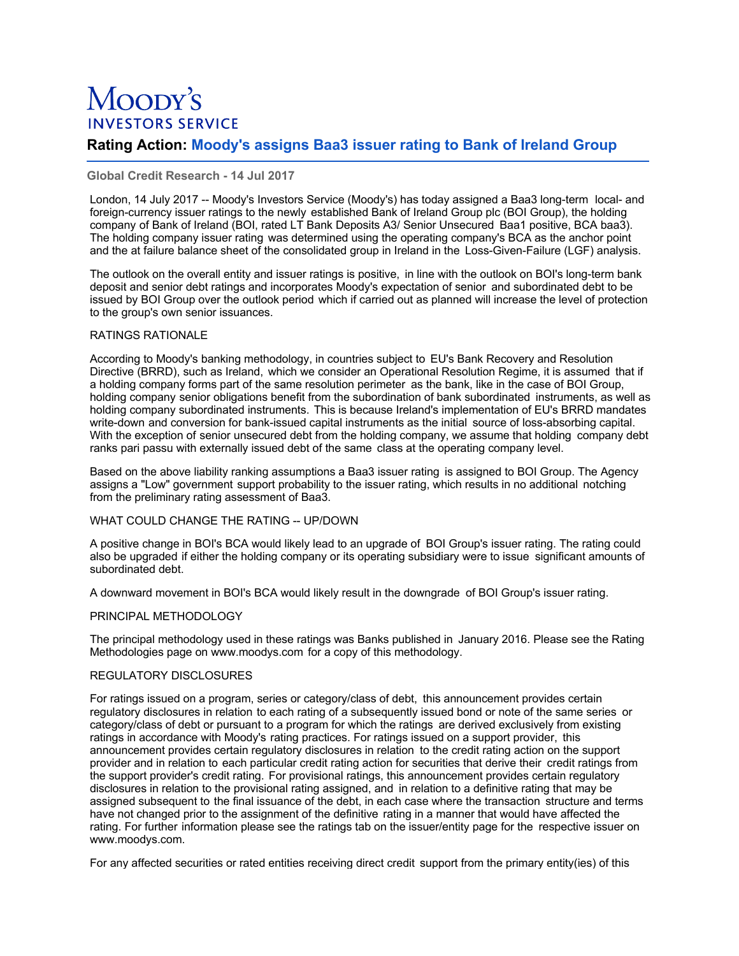# Moopy's **INVESTORS SERVICE**

# **Rating Action: Moody's assigns Baa3 issuer rating to Bank of Ireland Group**

# **Global Credit Research - 14 Jul 2017**

London, 14 July 2017 -- Moody's Investors Service (Moody's) has today assigned a Baa3 long-term local- and foreign-currency issuer ratings to the newly established Bank of Ireland Group plc (BOI Group), the holding company of Bank of Ireland (BOI, rated LT Bank Deposits A3/ Senior Unsecured Baa1 positive, BCA baa3). The holding company issuer rating was determined using the operating company's BCA as the anchor point and the at failure balance sheet of the consolidated group in Ireland in the Loss-Given-Failure (LGF) analysis.

The outlook on the overall entity and issuer ratings is positive, in line with the outlook on BOI's long-term bank deposit and senior debt ratings and incorporates Moody's expectation of senior and subordinated debt to be issued by BOI Group over the outlook period which if carried out as planned will increase the level of protection to the group's own senior issuances.

# RATINGS RATIONALE

According to Moody's banking methodology, in countries subject to EU's Bank Recovery and Resolution Directive (BRRD), such as Ireland, which we consider an Operational Resolution Regime, it is assumed that if a holding company forms part of the same resolution perimeter as the bank, like in the case of BOI Group, holding company senior obligations benefit from the subordination of bank subordinated instruments, as well as holding company subordinated instruments. This is because Ireland's implementation of EU's BRRD mandates write-down and conversion for bank-issued capital instruments as the initial source of loss-absorbing capital. With the exception of senior unsecured debt from the holding company, we assume that holding company debt ranks pari passu with externally issued debt of the same class at the operating company level.

Based on the above liability ranking assumptions a Baa3 issuer rating is assigned to BOI Group. The Agency assigns a "Low" government support probability to the issuer rating, which results in no additional notching from the preliminary rating assessment of Baa3.

### WHAT COULD CHANGE THE RATING -- UP/DOWN

A positive change in BOI's BCA would likely lead to an upgrade of BOI Group's issuer rating. The rating could also be upgraded if either the holding company or its operating subsidiary were to issue significant amounts of subordinated debt.

A downward movement in BOI's BCA would likely result in the downgrade of BOI Group's issuer rating.

### PRINCIPAL METHODOLOGY

The principal methodology used in these ratings was Banks published in January 2016. Please see the Rating Methodologies page on www.moodys.com for a copy of this methodology.

### REGULATORY DISCLOSURES

For ratings issued on a program, series or category/class of debt, this announcement provides certain regulatory disclosures in relation to each rating of a subsequently issued bond or note of the same series or category/class of debt or pursuant to a program for which the ratings are derived exclusively from existing ratings in accordance with Moody's rating practices. For ratings issued on a support provider, this announcement provides certain regulatory disclosures in relation to the credit rating action on the support provider and in relation to each particular credit rating action for securities that derive their credit ratings from the support provider's credit rating. For provisional ratings, this announcement provides certain regulatory disclosures in relation to the provisional rating assigned, and in relation to a definitive rating that may be assigned subsequent to the final issuance of the debt, in each case where the transaction structure and terms have not changed prior to the assignment of the definitive rating in a manner that would have affected the rating. For further information please see the ratings tab on the issuer/entity page for the respective issuer on www.moodys.com.

For any affected securities or rated entities receiving direct credit support from the primary entity(ies) of this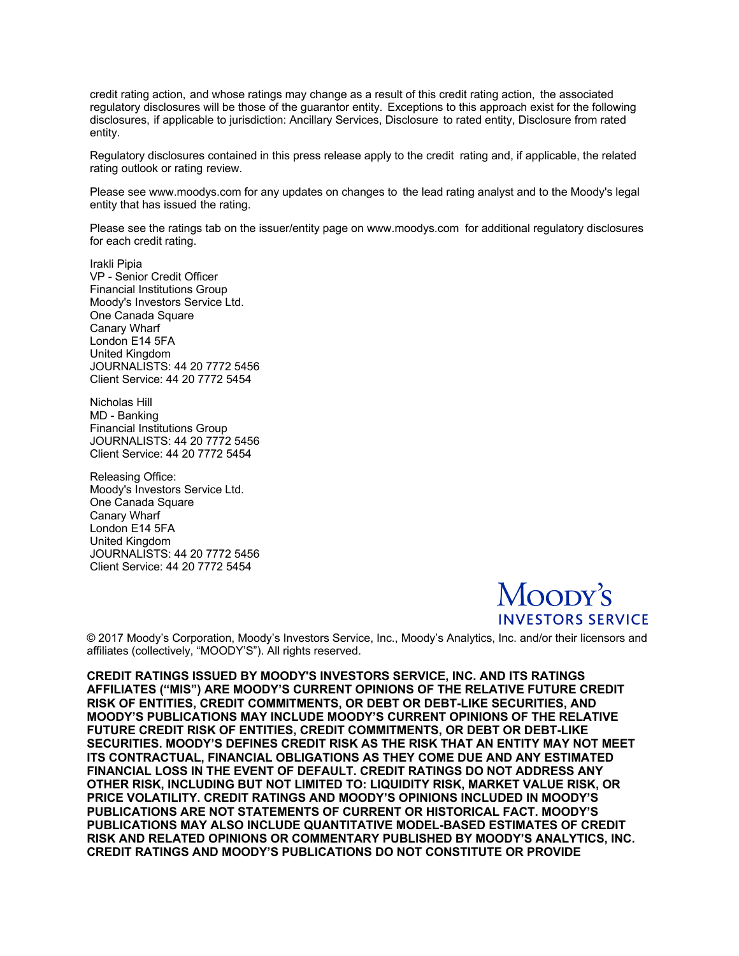credit rating action, and whose ratings may change as a result of this credit rating action, the associated regulatory disclosures will be those of the guarantor entity. Exceptions to this approach exist for the following disclosures, if applicable to jurisdiction: Ancillary Services, Disclosure to rated entity, Disclosure from rated entity.

Regulatory disclosures contained in this press release apply to the credit rating and, if applicable, the related rating outlook or rating review.

Please see www.moodys.com for any updates on changes to the lead rating analyst and to the Moody's legal entity that has issued the rating.

Please see the ratings tab on the issuer/entity page on www.moodys.com for additional regulatory disclosures for each credit rating.

Irakli Pipia VP - Senior Credit Officer Financial Institutions Group Moody's Investors Service Ltd. One Canada Square Canary Wharf London E14 5FA United Kingdom JOURNALISTS: 44 20 7772 5456 Client Service: 44 20 7772 5454

Nicholas Hill MD - Banking Financial Institutions Group JOURNALISTS: 44 20 7772 5456 Client Service: 44 20 7772 5454

Releasing Office: Moody's Investors Service Ltd. One Canada Square Canary Wharf London E14 5FA United Kingdom JOURNALISTS: 44 20 7772 5456 Client Service: 44 20 7772 5454



© 2017 Moody's Corporation, Moody's Investors Service, Inc., Moody's Analytics, Inc. and/or their licensors and affiliates (collectively, "MOODY'S"). All rights reserved.

**CREDIT RATINGS ISSUED BY MOODY'S INVESTORS SERVICE, INC. AND ITS RATINGS AFFILIATES ("MIS") ARE MOODY'S CURRENT OPINIONS OF THE RELATIVE FUTURE CREDIT RISK OF ENTITIES, CREDIT COMMITMENTS, OR DEBT OR DEBT-LIKE SECURITIES, AND MOODY'S PUBLICATIONS MAY INCLUDE MOODY'S CURRENT OPINIONS OF THE RELATIVE FUTURE CREDIT RISK OF ENTITIES, CREDIT COMMITMENTS, OR DEBT OR DEBT-LIKE SECURITIES. MOODY'S DEFINES CREDIT RISK AS THE RISK THAT AN ENTITY MAY NOT MEET ITS CONTRACTUAL, FINANCIAL OBLIGATIONS AS THEY COME DUE AND ANY ESTIMATED FINANCIAL LOSS IN THE EVENT OF DEFAULT. CREDIT RATINGS DO NOT ADDRESS ANY OTHER RISK, INCLUDING BUT NOT LIMITED TO: LIQUIDITY RISK, MARKET VALUE RISK, OR PRICE VOLATILITY. CREDIT RATINGS AND MOODY'S OPINIONS INCLUDED IN MOODY'S PUBLICATIONS ARE NOT STATEMENTS OF CURRENT OR HISTORICAL FACT. MOODY'S PUBLICATIONS MAY ALSO INCLUDE QUANTITATIVE MODEL-BASED ESTIMATES OF CREDIT RISK AND RELATED OPINIONS OR COMMENTARY PUBLISHED BY MOODY'S ANALYTICS, INC. CREDIT RATINGS AND MOODY'S PUBLICATIONS DO NOT CONSTITUTE OR PROVIDE**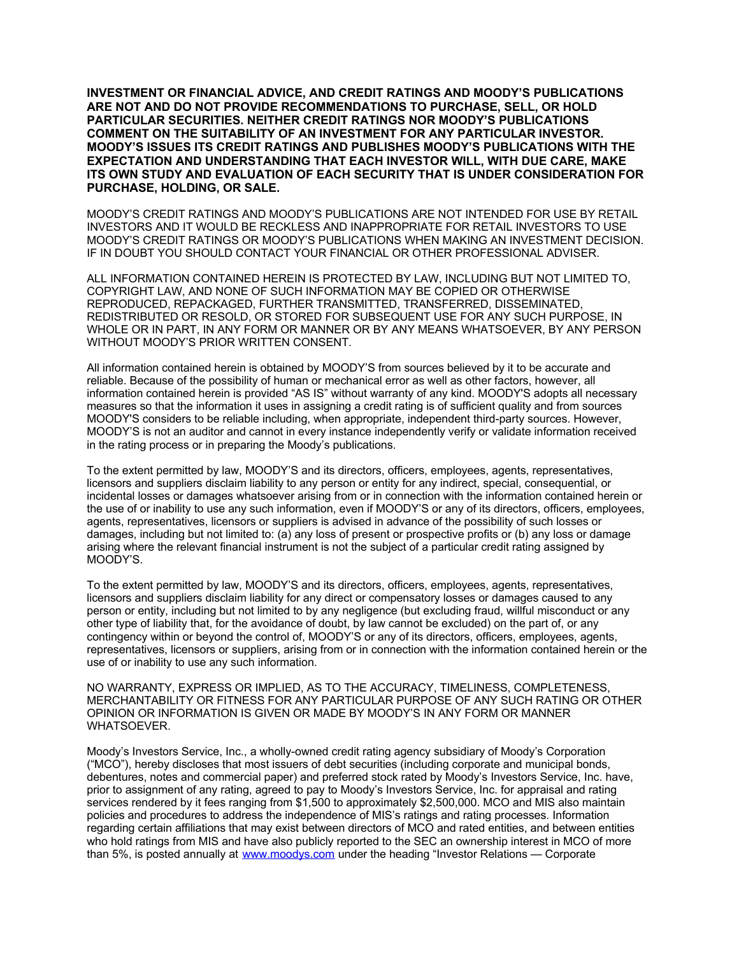**INVESTMENT OR FINANCIAL ADVICE, AND CREDIT RATINGS AND MOODY'S PUBLICATIONS ARE NOT AND DO NOT PROVIDE RECOMMENDATIONS TO PURCHASE, SELL, OR HOLD PARTICULAR SECURITIES. NEITHER CREDIT RATINGS NOR MOODY'S PUBLICATIONS COMMENT ON THE SUITABILITY OF AN INVESTMENT FOR ANY PARTICULAR INVESTOR. MOODY'S ISSUES ITS CREDIT RATINGS AND PUBLISHES MOODY'S PUBLICATIONS WITH THE EXPECTATION AND UNDERSTANDING THAT EACH INVESTOR WILL, WITH DUE CARE, MAKE ITS OWN STUDY AND EVALUATION OF EACH SECURITY THAT IS UNDER CONSIDERATION FOR PURCHASE, HOLDING, OR SALE.**

MOODY'S CREDIT RATINGS AND MOODY'S PUBLICATIONS ARE NOT INTENDED FOR USE BY RETAIL INVESTORS AND IT WOULD BE RECKLESS AND INAPPROPRIATE FOR RETAIL INVESTORS TO USE MOODY'S CREDIT RATINGS OR MOODY'S PUBLICATIONS WHEN MAKING AN INVESTMENT DECISION. IF IN DOUBT YOU SHOULD CONTACT YOUR FINANCIAL OR OTHER PROFESSIONAL ADVISER.

ALL INFORMATION CONTAINED HEREIN IS PROTECTED BY LAW, INCLUDING BUT NOT LIMITED TO, COPYRIGHT LAW, AND NONE OF SUCH INFORMATION MAY BE COPIED OR OTHERWISE REPRODUCED, REPACKAGED, FURTHER TRANSMITTED, TRANSFERRED, DISSEMINATED, REDISTRIBUTED OR RESOLD, OR STORED FOR SUBSEQUENT USE FOR ANY SUCH PURPOSE, IN WHOLE OR IN PART, IN ANY FORM OR MANNER OR BY ANY MEANS WHATSOEVER, BY ANY PERSON WITHOUT MOODY'S PRIOR WRITTEN CONSENT.

All information contained herein is obtained by MOODY'S from sources believed by it to be accurate and reliable. Because of the possibility of human or mechanical error as well as other factors, however, all information contained herein is provided "AS IS" without warranty of any kind. MOODY'S adopts all necessary measures so that the information it uses in assigning a credit rating is of sufficient quality and from sources MOODY'S considers to be reliable including, when appropriate, independent third-party sources. However, MOODY'S is not an auditor and cannot in every instance independently verify or validate information received in the rating process or in preparing the Moody's publications.

To the extent permitted by law, MOODY'S and its directors, officers, employees, agents, representatives, licensors and suppliers disclaim liability to any person or entity for any indirect, special, consequential, or incidental losses or damages whatsoever arising from or in connection with the information contained herein or the use of or inability to use any such information, even if MOODY'S or any of its directors, officers, employees, agents, representatives, licensors or suppliers is advised in advance of the possibility of such losses or damages, including but not limited to: (a) any loss of present or prospective profits or (b) any loss or damage arising where the relevant financial instrument is not the subject of a particular credit rating assigned by MOODY'S.

To the extent permitted by law, MOODY'S and its directors, officers, employees, agents, representatives, licensors and suppliers disclaim liability for any direct or compensatory losses or damages caused to any person or entity, including but not limited to by any negligence (but excluding fraud, willful misconduct or any other type of liability that, for the avoidance of doubt, by law cannot be excluded) on the part of, or any contingency within or beyond the control of, MOODY'S or any of its directors, officers, employees, agents, representatives, licensors or suppliers, arising from or in connection with the information contained herein or the use of or inability to use any such information.

NO WARRANTY, EXPRESS OR IMPLIED, AS TO THE ACCURACY, TIMELINESS, COMPLETENESS, MERCHANTABILITY OR FITNESS FOR ANY PARTICULAR PURPOSE OF ANY SUCH RATING OR OTHER OPINION OR INFORMATION IS GIVEN OR MADE BY MOODY'S IN ANY FORM OR MANNER WHATSOEVER.

Moody's Investors Service, Inc., a wholly-owned credit rating agency subsidiary of Moody's Corporation ("MCO"), hereby discloses that most issuers of debt securities (including corporate and municipal bonds, debentures, notes and commercial paper) and preferred stock rated by Moody's Investors Service, Inc. have, prior to assignment of any rating, agreed to pay to Moody's Investors Service, Inc. for appraisal and rating services rendered by it fees ranging from \$1,500 to approximately \$2,500,000. MCO and MIS also maintain policies and procedures to address the independence of MIS's ratings and rating processes. Information regarding certain affiliations that may exist between directors of MCO and rated entities, and between entities who hold ratings from MIS and have also publicly reported to the SEC an ownership interest in MCO of more than 5%, is posted annually at [www.moodys.com](https://www.moodys.com/) under the heading "Investor Relations — Corporate